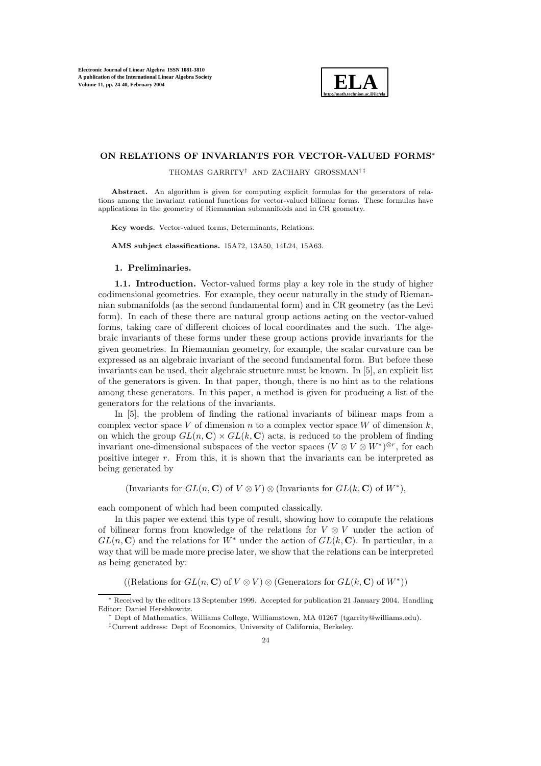

# **ON RELATIONS OF INVARIANTS FOR VECTOR-VALUED FORMS**<sup>∗</sup>

THOMAS GARRITY† AND ZACHARY GROSSMAN† ‡

Abstract. An algorithm is given for computing explicit formulas for the generators of relations among the invariant rational functions for vector-valued bilinear forms. These formulas have applications in the geometry of Riemannian submanifolds and in CR geometry.

**Key words.** Vector-valued forms, Determinants, Relations.

**AMS subject classifications.** 15A72, 13A50, 14L24, 15A63.

#### **1. Preliminaries.**

**1.1. Introduction.** Vector-valued forms play a key role in the study of higher codimensional geometries. For example, they occur naturally in the study of Riemannian submanifolds (as the second fundamental form) and in CR geometry (as the Levi form). In each of these there are natural group actions acting on the vector-valued forms, taking care of different choices of local coordinates and the such. The algebraic invariants of these forms under these group actions provide invariants for the given geometries. In Riemannian geometry, for example, the scalar curvature can be expressed as an algebraic invariant of the second fundamental form. But before these invariants can be used, their algebraic structure must be known. In [5], an explicit list of the generators is given. In that paper, though, there is no hint as to the relations among these generators. In this paper, a method is given for producing a list of the generators for the relations of the invariants.

In [5], the problem of finding the rational invariants of bilinear maps from a complex vector space V of dimension n to a complex vector space W of dimension  $k$ , on which the group  $GL(n, \mathbb{C}) \times GL(k, \mathbb{C})$  acts, is reduced to the problem of finding invariant one-dimensional subspaces of the vector spaces  $(V \otimes V \otimes W^*)^{\otimes r}$ , for each positive integer r. From this, it is shown that the invariants can be interpreted as being generated by

(Invariants for  $GL(n, \mathbb{C})$  of  $V \otimes V$ )  $\otimes$  (Invariants for  $GL(k, \mathbb{C})$  of  $W^*$ ),

each component of which had been computed classically.

In this paper we extend this type of result, showing how to compute the relations of bilinear forms from knowledge of the relations for  $V \otimes V$  under the action of  $GL(n, \mathbb{C})$  and the relations for  $W^*$  under the action of  $GL(k, \mathbb{C})$ . In particular, in a way that will be made more precise later, we show that the relations can be interpreted as being generated by:

((Relations for  $GL(n, \mathbb{C})$  of  $V \otimes V$ )  $\otimes$  (Generators for  $GL(k, \mathbb{C})$  of  $W^*$ ))

<sup>∗</sup> Received by the editors 13 September 1999. Accepted for publication 21 January 2004. Handling Editor: Daniel Hershkowitz.

<sup>†</sup> Dept of Mathematics, Williams College, Williamstown, MA 01267 (tgarrity@williams.edu).

<sup>‡</sup>Current address: Dept of Economics, University of California, Berkeley.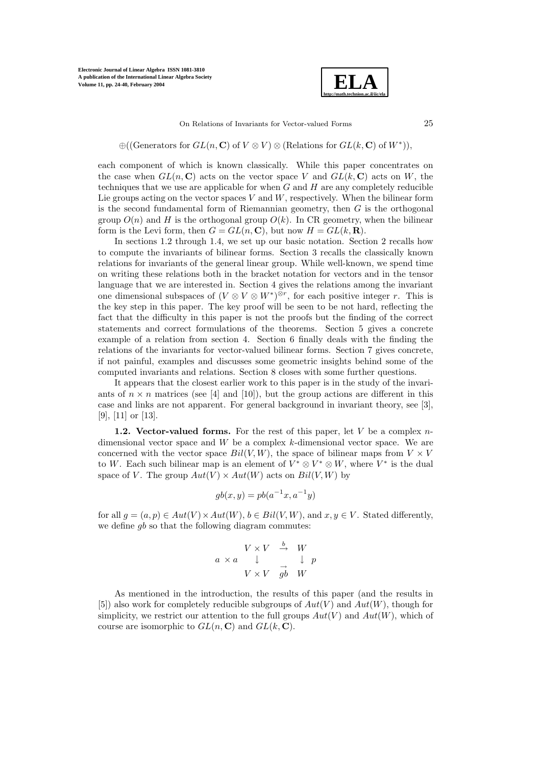

On Relations of Invariants for Vector-valued Forms 25

 $\oplus ((\text{Generators for } GL(n, \mathbf{C}) \text{ of } V \otimes V) \otimes (\text{Relations for } GL(k, \mathbf{C}) \text{ of } W^*)),$ 

each component of which is known classically. While this paper concentrates on the case when  $GL(n, \mathbb{C})$  acts on the vector space V and  $GL(k, \mathbb{C})$  acts on W, the techniques that we use are applicable for when  $G$  and  $H$  are any completely reducible Lie groups acting on the vector spaces  $V$  and  $W$ , respectively. When the bilinear form is the second fundamental form of Riemannian geometry, then  $G$  is the orthogonal group  $O(n)$  and H is the orthogonal group  $O(k)$ . In CR geometry, when the bilinear form is the Levi form, then  $G = GL(n, \mathbb{C})$ , but now  $H = GL(k, \mathbb{R})$ .

In sections 1.2 through 1.4, we set up our basic notation. Section 2 recalls how to compute the invariants of bilinear forms. Section 3 recalls the classically known relations for invariants of the general linear group. While well-known, we spend time on writing these relations both in the bracket notation for vectors and in the tensor language that we are interested in. Section 4 gives the relations among the invariant one dimensional subspaces of  $(V \otimes V \otimes W^*)^{\otimes r}$ , for each positive integer r. This is the key step in this paper. The key proof will be seen to be not hard, reflecting the fact that the difficulty in this paper is not the proofs but the finding of the correct statements and correct formulations of the theorems. Section 5 gives a concrete example of a relation from section 4. Section 6 finally deals with the finding the relations of the invariants for vector-valued bilinear forms. Section 7 gives concrete, if not painful, examples and discusses some geometric insights behind some of the computed invariants and relations. Section 8 closes with some further questions.

It appears that the closest earlier work to this paper is in the study of the invariants of  $n \times n$  matrices (see [4] and [10]), but the group actions are different in this case and links are not apparent. For general background in invariant theory, see [3], [9], [11] or [13].

**1.2. Vector-valued forms.** For the rest of this paper, let  $V$  be a complex  $n$ dimensional vector space and  $W$  be a complex  $k$ -dimensional vector space. We are concerned with the vector space  $Bil(V, W)$ , the space of bilinear maps from  $V \times V$ to W. Each such bilinear map is an element of  $V^* \otimes V^* \otimes W$ , where  $V^*$  is the dual space of V. The group  $Aut(V) \times Aut(W)$  acts on  $Bil(V, W)$  by

$$
gb(x, y) = pb(a^{-1}x, a^{-1}y)
$$

for all  $q = (a, p) \in Aut(V) \times Aut(W)$ ,  $b \in Bil(V, W)$ , and  $x, y \in V$ . Stated differently, we define  $q_b$  so that the following diagram commutes:

$$
\begin{array}{ccc}\n & V \times V & \stackrel{b}{\rightarrow} & W \\
a \times a & \downarrow & & \downarrow p \\
 & V \times V & \stackrel{\rightarrow}{gb} & W\n\end{array}
$$

As mentioned in the introduction, the results of this paper (and the results in [5]) also work for completely reducible subgroups of  $Aut(V)$  and  $Aut(W)$ , though for simplicity, we restrict our attention to the full groups  $Aut(V)$  and  $Aut(W)$ , which of course are isomorphic to  $GL(n, \mathbb{C})$  and  $GL(k, \mathbb{C})$ .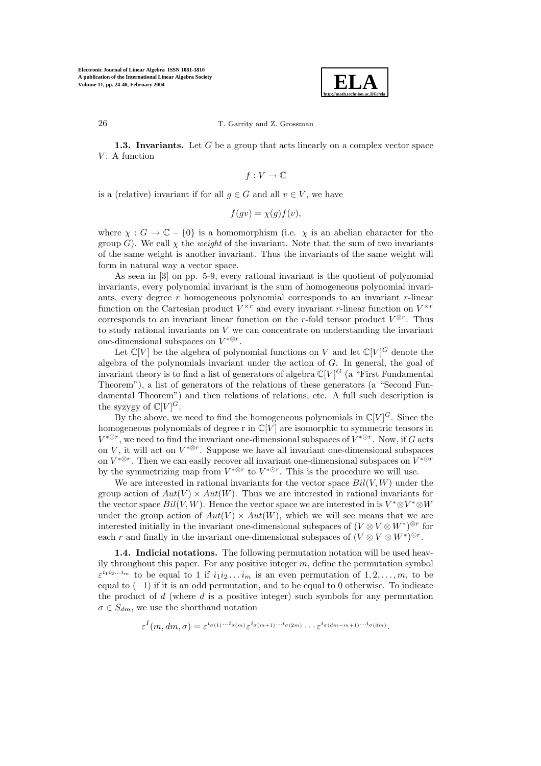

**1.3. Invariants.** Let G be a group that acts linearly on a complex vector space  $V$ . A function

$$
f:V\to\mathbb{C}
$$

is a (relative) invariant if for all  $q \in G$  and all  $v \in V$ , we have

$$
f(gv) = \chi(g)f(v),
$$

where  $\chi : G \to \mathbb{C} - \{0\}$  is a homomorphism (i.e.  $\chi$  is an abelian character for the group G). We call  $\chi$  the *weight* of the invariant. Note that the sum of two invariants of the same weight is another invariant. Thus the invariants of the same weight will form in natural way a vector space.

As seen in [3] on pp. 5-9, every rational invariant is the quotient of polynomial invariants, every polynomial invariant is the sum of homogeneous polynomial invariants, every degree r homogeneous polynomial corresponds to an invariant r-linear function on the Cartesian product  $V^{\times r}$  and every invariant r-linear function on  $V^{\times r}$ corresponds to an invariant linear function on the r-fold tensor product  $V^{\otimes r}$ . Thus to study rational invariants on V we can concentrate on understanding the invariant one-dimensional subspaces on  $V^{*\otimes r}.$ 

Let  $\mathbb{C}[V]$  be the algebra of polynomial functions on V and let  $\mathbb{C}[V]^G$  denote the algebra of the polynomials invariant under the action of G. In general, the goal of invariant theory is to find a list of generators of algebra  $\mathbb{C}[V]^G$  (a "First Fundamental Theorem"), a list of generators of the relations of these generators (a "Second Fundamental Theorem") and then relations of relations, etc. A full such description is the syzygy of  $\mathbb{C}[V]^{G}$ .

By the above, we need to find the homogeneous polynomials in  $\mathbb{C}[V]^G$ . Since the homogeneous polynomials of degree r in  $\mathbb{C}[V]$  are isomorphic to symmetric tensors in  $V^{*\odot r}$ , we need to find the invariant one-dimensional subspaces of  $V^{*\odot r}$ . Now, if G acts on V, it will act on  $V^{* \otimes r}$ . Suppose we have all invariant one-dimensional subspaces on  $V^{* \otimes r}$ . Then we can easily recover all invariant one-dimensional subspaces on  $V^{* \otimes r}$ . by the symmetrizing map from  $V^{* \otimes r}$  to  $V^{* \odot r}$ . This is the procedure we will use.

We are interested in rational invariants for the vector space  $Bil(V, W)$  under the group action of  $Aut(V) \times Aut(W)$ . Thus we are interested in rational invariants for the vector space  $Bil(V, W)$ . Hence the vector space we are interested in is  $V^* \otimes V^* \otimes W$ under the group action of  $Aut(V) \times Aut(W)$ , which we will see means that we are interested initially in the invariant one-dimensional subspaces of  $(V \otimes V \otimes W^*)^{\otimes r}$  for each r and finally in the invariant one-dimensional subspaces of  $(V \otimes V \otimes W^*)^{\odot r}$ .

**1.4. Indicial notations.** The following permutation notation will be used heavily throughout this paper. For any positive integer  $m$ , define the permutation symbol  $\varepsilon^{i_1 i_2 \dots i_m}$  to be equal to 1 if  $i_1 i_2 \dots i_m$  is an even permutation of  $1, 2, \dots, m$ , to be equal to  $(-1)$  if it is an odd permutation, and to be equal to 0 otherwise. To indicate the product of  $d$  (where  $d$  is a positive integer) such symbols for any permutation  $\sigma \in S_{dm}$ , we use the shorthand notation

$$
\varepsilon^{I}(m, dm, \sigma) = \varepsilon^{i_{\sigma(1)}\ldots i_{\sigma(m)}} \varepsilon^{i_{\sigma(m+1)}\ldots i_{\sigma(2m)}} \cdots \varepsilon^{i_{\sigma(dm-m+1)}\ldots i_{\sigma(dm)}}.
$$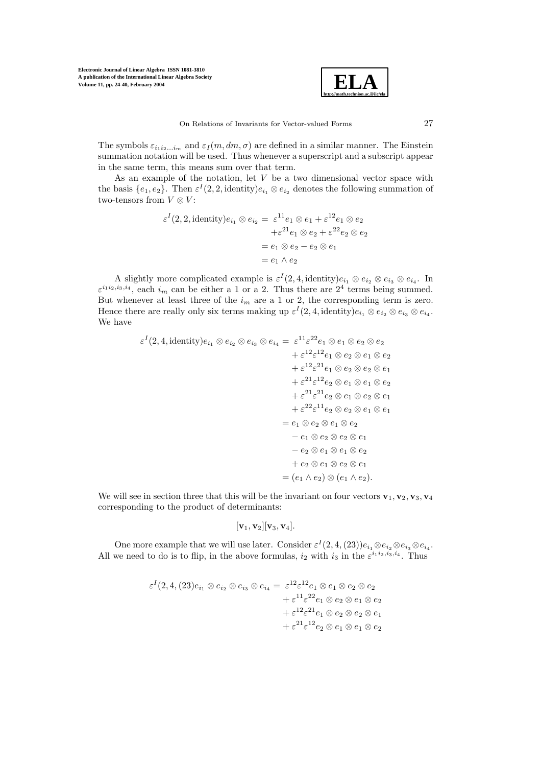

The symbols  $\varepsilon_{i_1i_2...i_m}$  and  $\varepsilon_I(m, dm, \sigma)$  are defined in a similar manner. The Einstein summation notation will be used. Thus whenever a superscript and a subscript appear in the same term, this means sum over that term.

As an example of the notation, let  $V$  be a two dimensional vector space with the basis  $\{e_1, e_2\}$ . Then  $\varepsilon^I(2, 2, \text{identity})e_{i_1} \otimes e_{i_2}$  denotes the following summation of two-tensors from  $V \otimes V$ :

$$
\varepsilon^{I}(2,2,\text{identity})e_{i_{1}} \otimes e_{i_{2}} = \varepsilon^{11}e_{1} \otimes e_{1} + \varepsilon^{12}e_{1} \otimes e_{2}
$$

$$
+ \varepsilon^{21}e_{1} \otimes e_{2} + \varepsilon^{22}e_{2} \otimes e_{2}
$$

$$
= e_{1} \otimes e_{2} - e_{2} \otimes e_{1}
$$

$$
= e_{1} \wedge e_{2}
$$

A slightly more complicated example is  $\varepsilon^I(2, 4$ , identity) $e_{i_1} \otimes e_{i_2} \otimes e_{i_3} \otimes e_{i_4}$ . In  $\varepsilon^{i_1 i_2, i_3, i_4}$ , each  $i_m$  can be either a 1 or a 2. Thus there are  $2^4$  terms being summed. But whenever at least three of the  $i_m$  are a 1 or 2, the corresponding term is zero. Hence there are really only six terms making up  $\varepsilon^I(2, 4)$ , identity) $e_{i_1} \otimes e_{i_2} \otimes e_{i_3} \otimes e_{i_4}$ . We have

$$
\varepsilon^{I}(2, 4, \text{identity})e_{i_{1}} \otimes e_{i_{2}} \otimes e_{i_{3}} \otimes e_{i_{4}} = \varepsilon^{11}\varepsilon^{22}e_{1} \otimes e_{1} \otimes e_{2} \otimes e_{2}
$$
  
\n
$$
+ \varepsilon^{12}\varepsilon^{12}e_{1} \otimes e_{2} \otimes e_{1} \otimes e_{2}
$$
  
\n
$$
+ \varepsilon^{12}\varepsilon^{12}e_{1} \otimes e_{2} \otimes e_{2} \otimes e_{1}
$$
  
\n
$$
+ \varepsilon^{21}\varepsilon^{12}e_{2} \otimes e_{1} \otimes e_{1} \otimes e_{2}
$$
  
\n
$$
+ \varepsilon^{21}\varepsilon^{21}e_{2} \otimes e_{1} \otimes e_{2} \otimes e_{1}
$$
  
\n
$$
+ \varepsilon^{22}\varepsilon^{11}e_{2} \otimes e_{2} \otimes e_{1} \otimes e_{1}
$$
  
\n
$$
= e_{1} \otimes e_{2} \otimes e_{1} \otimes e_{2}
$$
  
\n
$$
- e_{1} \otimes e_{2} \otimes e_{2} \otimes e_{1}
$$
  
\n
$$
- e_{2} \otimes e_{1} \otimes e_{2} \otimes e_{1}
$$
  
\n
$$
+ e_{2} \otimes e_{1} \otimes e_{2} \otimes e_{1}
$$
  
\n
$$
= (e_{1} \wedge e_{2}) \otimes (e_{1} \wedge e_{2}).
$$

We will see in section three that this will be the invariant on four vectors  $\mathbf{v}_1, \mathbf{v}_2, \mathbf{v}_3, \mathbf{v}_4$ corresponding to the product of determinants:

$$
[\mathbf{v}_1,\mathbf{v}_2][\mathbf{v}_3,\mathbf{v}_4].
$$

One more example that we will use later. Consider  $\varepsilon^I(2, 4, (23))e_{i_1}\otimes e_{i_2}\otimes e_{i_3}\otimes e_{i_4}$ . All we need to do is to flip, in the above formulas,  $i_2$  with  $i_3$  in the  $\varepsilon^{i_1 i_2, i_3, i_4}$ . Thus

$$
\varepsilon^{I}(2,4,(23)e_{i_1}\otimes e_{i_2}\otimes e_{i_3}\otimes e_{i_4} = \varepsilon^{12}\varepsilon^{12}e_1\otimes e_1\otimes e_2\otimes e_2
$$
  
\n
$$
+ \varepsilon^{11}\varepsilon^{22}e_1\otimes e_2\otimes e_1\otimes e_2
$$
  
\n
$$
+ \varepsilon^{12}\varepsilon^{21}e_1\otimes e_2\otimes e_2\otimes e_1
$$
  
\n
$$
+ \varepsilon^{21}\varepsilon^{12}e_2\otimes e_1\otimes e_1\otimes e_2
$$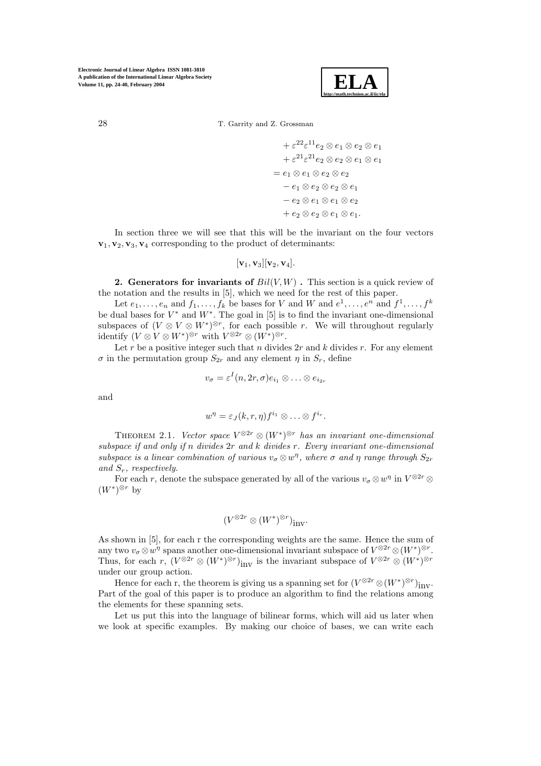

 $+ \varepsilon^{22} \varepsilon^{11} e_2 \otimes e_1 \otimes e_2 \otimes e_1$  $+ \varepsilon^{21} \varepsilon^{21} e_2 \otimes e_2 \otimes e_1 \otimes e_1$  $= e_1 \otimes e_1 \otimes e_2 \otimes e_2$  $-e_1 \otimes e_2 \otimes e_2 \otimes e_1$  $-e_2 \otimes e_1 \otimes e_1 \otimes e_2$  $+ e_2 \otimes e_2 \otimes e_1 \otimes e_1.$ 

In section three we will see that this will be the invariant on the four vectors  $\mathbf{v}_1, \mathbf{v}_2, \mathbf{v}_3, \mathbf{v}_4$  corresponding to the product of determinants:

$$
[\mathbf{v}_1,\mathbf{v}_3][\mathbf{v}_2,\mathbf{v}_4].
$$

**2. Generators for invariants of**  $Bil(V, W)$ **. This section is a quick review of** the notation and the results in [5], which we need for the rest of this paper.

Let  $e_1, \ldots, e_n$  and  $f_1, \ldots, f_k$  be bases for V and W and  $e^1, \ldots, e^n$  and  $f^1, \ldots, f^k$ be dual bases for  $V^*$  and  $W^*$ . The goal in [5] is to find the invariant one-dimensional subspaces of  $(V \otimes V \otimes W^*)^{\otimes r}$ , for each possible r. We will throughout regularly identify  $(V \otimes V \otimes W^*)^{\otimes r}$  with  $V^{\otimes 2r} \otimes (W^*)^{\otimes r}$ .

Let r be a positive integer such that n divides  $2r$  and k divides r. For any element  $\sigma$  in the permutation group  $S_{2r}$  and any element  $\eta$  in  $S_r$ , define

$$
v_{\sigma} = \varepsilon^{I}(n, 2r, \sigma)e_{i_1} \otimes \ldots \otimes e_{i_{2r}}
$$

and

$$
w^{\eta} = \varepsilon_J(k,r,\eta) f^{i_1} \otimes \ldots \otimes f^{i_r}.
$$

THEOREM 2.1. *Vector space*  $V^{\otimes 2r} \otimes (W^*)^{\otimes r}$  *has an invariant one-dimensional subspace if and only if* n *divides* 2r *and* k *divides* r*. Every invariant one-dimensional subspace is a linear combination of various*  $v_{\sigma} \otimes w^{\eta}$ , where  $\sigma$  *and*  $\eta$  *range through*  $S_{2r}$ *and* Sr*, respectively.*

For each r, denote the subspace generated by all of the various  $v_{\sigma} \otimes w^{\eta}$  in  $V^{\otimes 2r} \otimes$  $(W^*)^{\otimes r}$  by

$$
(V^{\otimes 2r}\otimes (W^*)^{\otimes r})_{\operatorname{inv}}.
$$

As shown in [5], for each r the corresponding weights are the same. Hence the sum of any two  $v_{\sigma} \otimes w^{\eta}$  spans another one-dimensional invariant subspace of  $V^{\otimes 2r} \otimes (W^*)^{\otimes r}$ . Thus, for each r,  $(V^{\otimes 2r} \otimes (W^*)^{\otimes r})_{inv}$  is the invariant subspace of  $V^{\otimes 2r} \otimes (W^*)^{\otimes r}$ under our group action.

Hence for each r, the theorem is giving us a spanning set for  $(V^{\otimes 2r} \otimes (W^*)^{\otimes r})_{inv}$ . Part of the goal of this paper is to produce an algorithm to find the relations among the elements for these spanning sets.

Let us put this into the language of bilinear forms, which will aid us later when we look at specific examples. By making our choice of bases, we can write each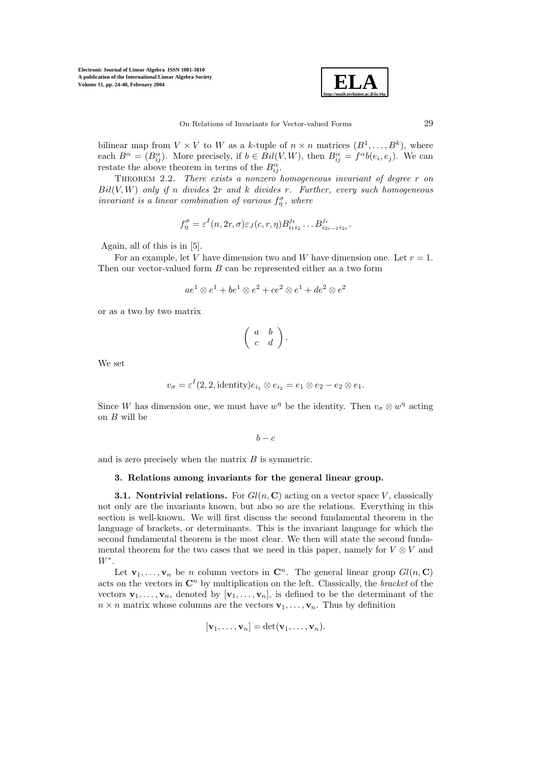

bilinear map from  $V \times V$  to W as a k-tuple of  $n \times n$  matrices  $(B^1, \ldots, B^k)$ , where each  $B^{\alpha} = (B^{\alpha}_{ij})$ . More precisely, if  $b \in \text{Bil}(V, W)$ , then  $B^{\alpha}_{ij} = f^{\alpha}b(e_i, e_j)$ . We can restate the above theorem in terms of the  $B_{ii}^{\alpha}$ .

Theorem 2.2. *There exists a nonzero homogeneous invariant of degree* r *on* Bil(V,W) *only if* n *divides* 2r *and* k *divides* r*. Further, every such homogeneous invariant is a linear combination of various*  $f_n^{\sigma}$ , where

$$
f_{\eta}^{\sigma} = \varepsilon^{I}(n, 2r, \sigma) \varepsilon_{J}(c, r, \eta) B_{i_1 i_2}^{j_1} \dots B_{i_{2r-1} i_{2r}}^{j_r}.
$$

Again, all of this is in [5].

For an example, let V have dimension two and W have dimension one. Let  $r = 1$ . Then our vector-valued form B can be represented either as a two form

$$
ae^1\otimes e^1+be^1\otimes e^2+ce^2\otimes e^1+de^2\otimes e^2
$$

or as a two by two matrix

$$
\left(\begin{array}{cc}a&b\\c&d\end{array}\right).
$$

We set

$$
v_{\sigma} = \varepsilon^{I}(2, 2, \text{identity})e_{i_1} \otimes e_{i_2} = e_1 \otimes e_2 - e_2 \otimes e_1.
$$

Since W has dimension one, we must have  $w^{\eta}$  be the identity. Then  $v_{\sigma} \otimes w^{\eta}$  acting on B will be

$$
b-c
$$

and is zero precisely when the matrix  $B$  is symmetric.

## **3. Relations among invariants for the general linear group.**

**3.1. Nontrivial relations.** For  $Gl(n, \mathbf{C})$  acting on a vector space V, classically not only are the invariants known, but also so are the relations. Everything in this section is well-known. We will first discuss the second fundamental theorem in the language of brackets, or determinants. This is the invariant language for which the second fundamental theorem is the most clear. We then will state the second fundamental theorem for the two cases that we need in this paper, namely for  $V \otimes V$  and  $W^*$ .

Let  $\mathbf{v}_1, \ldots, \mathbf{v}_n$  be n column vectors in  $\mathbf{C}^n$ . The general linear group  $Gl(n, \mathbf{C})$ acts on the vectors in  $\mathbb{C}^n$  by multiplication on the left. Classically, the *bracket* of the vectors  $\mathbf{v}_1,\ldots,\mathbf{v}_n$ , denoted by  $[\mathbf{v}_1,\ldots,\mathbf{v}_n]$ , is defined to be the determinant of the  $n \times n$  matrix whose columns are the vectors  $\mathbf{v}_1, \ldots, \mathbf{v}_n$ . Thus by definition

$$
[\mathbf{v}_1,\ldots,\mathbf{v}_n]=\det(\mathbf{v}_1,\ldots,\mathbf{v}_n).
$$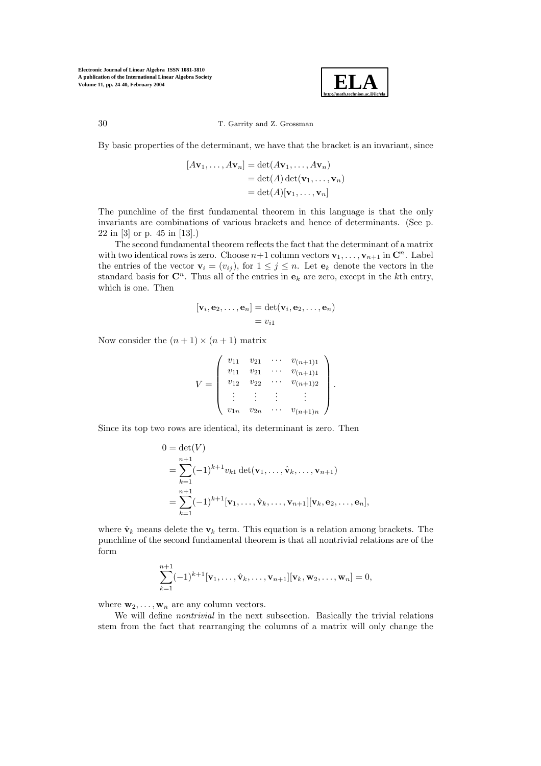

30 T. Garrity and Z. Grossman

By basic properties of the determinant, we have that the bracket is an invariant, since

$$
[A\mathbf{v}_1,\ldots,A\mathbf{v}_n] = \det(A\mathbf{v}_1,\ldots,A\mathbf{v}_n)
$$
  
=  $\det(A)\det(\mathbf{v}_1,\ldots,\mathbf{v}_n)$   
=  $\det(A)[\mathbf{v}_1,\ldots,\mathbf{v}_n]$ 

The punchline of the first fundamental theorem in this language is that the only invariants are combinations of various brackets and hence of determinants. (See p. 22 in [3] or p. 45 in [13].)

The second fundamental theorem reflects the fact that the determinant of a matrix with two identical rows is zero. Choose  $n+1$  column vectors  $\mathbf{v}_1,\ldots,\mathbf{v}_{n+1}$  in  $\mathbf{C}^n$ . Label the entries of the vector  $\mathbf{v}_i = (v_{ij})$ , for  $1 \leq j \leq n$ . Let  $\mathbf{e}_k$  denote the vectors in the standard basis for  $\mathbb{C}^n$ . Thus all of the entries in  $\mathbf{e}_k$  are zero, except in the kth entry, which is one. Then

$$
[\mathbf{v}_i, \mathbf{e}_2, \dots, \mathbf{e}_n] = \det(\mathbf{v}_i, \mathbf{e}_2, \dots, \mathbf{e}_n)
$$
  
=  $v_{i1}$ 

Now consider the  $(n + 1) \times (n + 1)$  matrix

$$
V = \begin{pmatrix} v_{11} & v_{21} & \cdots & v_{(n+1)1} \\ v_{11} & v_{21} & \cdots & v_{(n+1)1} \\ v_{12} & v_{22} & \cdots & v_{(n+1)2} \\ \vdots & \vdots & \vdots & \vdots \\ v_{1n} & v_{2n} & \cdots & v_{(n+1)n} \end{pmatrix}.
$$

Since its top two rows are identical, its determinant is zero. Then

$$
0 = \det(V)
$$
  
=  $\sum_{k=1}^{n+1} (-1)^{k+1} v_{k1} \det(\mathbf{v}_1, ..., \hat{\mathbf{v}}_k, ..., \mathbf{v}_{n+1})$   
=  $\sum_{k=1}^{n+1} (-1)^{k+1} [\mathbf{v}_1, ..., \hat{\mathbf{v}}_k, ..., \mathbf{v}_{n+1}] [\mathbf{v}_k, \mathbf{e}_2, ..., \mathbf{e}_n],$ 

where  $\hat{\mathbf{v}}_k$  means delete the  $\mathbf{v}_k$  term. This equation is a relation among brackets. The punchline of the second fundamental theorem is that all nontrivial relations are of the form

$$
\sum_{k=1}^{n+1}(-1)^{k+1}[\mathbf{v}_1,\ldots,\hat{\mathbf{v}}_k,\ldots,\mathbf{v}_{n+1}][\mathbf{v}_k,\mathbf{w}_2,\ldots,\mathbf{w}_n]=0,
$$

where  $\mathbf{w}_2, \ldots, \mathbf{w}_n$  are any column vectors.

We will define *nontrivial* in the next subsection. Basically the trivial relations stem from the fact that rearranging the columns of a matrix will only change the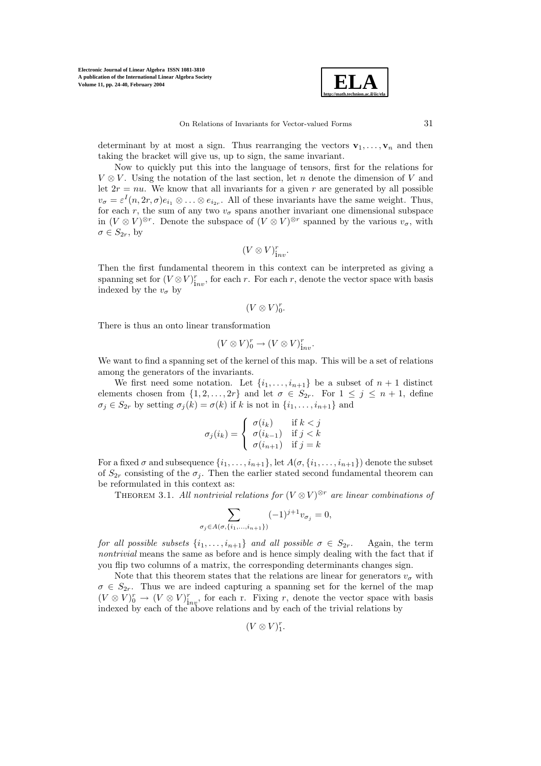

determinant by at most a sign. Thus rearranging the vectors  $\mathbf{v}_1, \ldots, \mathbf{v}_n$  and then taking the bracket will give us, up to sign, the same invariant.

Now to quickly put this into the language of tensors, first for the relations for  $V \otimes V$ . Using the notation of the last section, let n denote the dimension of V and let  $2r = nu$ . We know that all invariants for a given r are generated by all possible  $v_{\sigma} = \varepsilon^{I}(n, 2r, \sigma)e_{i_1} \otimes \ldots \otimes e_{i_{2r}}$ . All of these invariants have the same weight. Thus, for each r, the sum of any two  $v_{\sigma}$  spans another invariant one dimensional subspace in  $(V \otimes V)^{\otimes r}$ . Denote the subspace of  $(V \otimes V)^{\otimes r}$  spanned by the various  $v_{\sigma}$ , with  $\sigma \in S_{2r}$ , by

$$
(V\otimes V)^r_{\mathrm inv}.
$$

Then the first fundamental theorem in this context can be interpreted as giving a spanning set for  $(V \otimes V)^r_{\text{inv}}$ , for each r. For each r, denote the vector space with basis indexed by the  $v_{\sigma}$  by

$$
(V\otimes V)^r_0.
$$

There is thus an onto linear transformation

$$
(V \otimes V)^r_0 \to (V \otimes V)^r_{\text{inv}}.
$$

We want to find a spanning set of the kernel of this map. This will be a set of relations among the generators of the invariants.

We first need some notation. Let  $\{i_1,\ldots,i_{n+1}\}$  be a subset of  $n+1$  distinct elements chosen from  $\{1, 2, ..., 2r\}$  and let  $\sigma \in S_{2r}$ . For  $1 \leq j \leq n+1$ , define  $\sigma_j \in S_{2r}$  by setting  $\sigma_j(k) = \sigma(k)$  if k is not in  $\{i_1, \ldots, i_{n+1}\}$  and

$$
\sigma_j(i_k) = \begin{cases} \sigma(i_k) & \text{if } k < j \\ \sigma(i_{k-1}) & \text{if } j < k \\ \sigma(i_{n+1}) & \text{if } j = k \end{cases}
$$

For a fixed  $\sigma$  and subsequence  $\{i_1,\ldots,i_{n+1}\}$ , let  $A(\sigma,\{i_1,\ldots,i_{n+1}\})$  denote the subset of  $S_{2r}$  consisting of the  $\sigma_j$ . Then the earlier stated second fundamental theorem can be reformulated in this context as:

THEOREM 3.1. All nontrivial relations for  $(V \otimes V)^{\otimes r}$  are linear combinations of

$$
\sum_{\sigma_j \in A(\sigma, \{i_1, \dots, i_{n+1}\})} (-1)^{j+1} v_{\sigma_j} = 0,
$$

*for all possible subsets*  $\{i_1, \ldots, i_{n+1}\}$  *and all possible*  $\sigma \in S_{2r}$ . Again, the term *nontrivial* means the same as before and is hence simply dealing with the fact that if you flip two columns of a matrix, the corresponding determinants changes sign.

Note that this theorem states that the relations are linear for generators  $v_{\sigma}$  with  $\sigma \in S_{2r}$ . Thus we are indeed capturing a spanning set for the kernel of the map  $(V \otimes V)^r_0 \to (V \otimes V)^r_{\text{inv}}$ , for each r. Fixing r, denote the vector space with basis indexed by each of the above relations and by each of the trivial relations by

$$
(V \otimes V)^r_1.
$$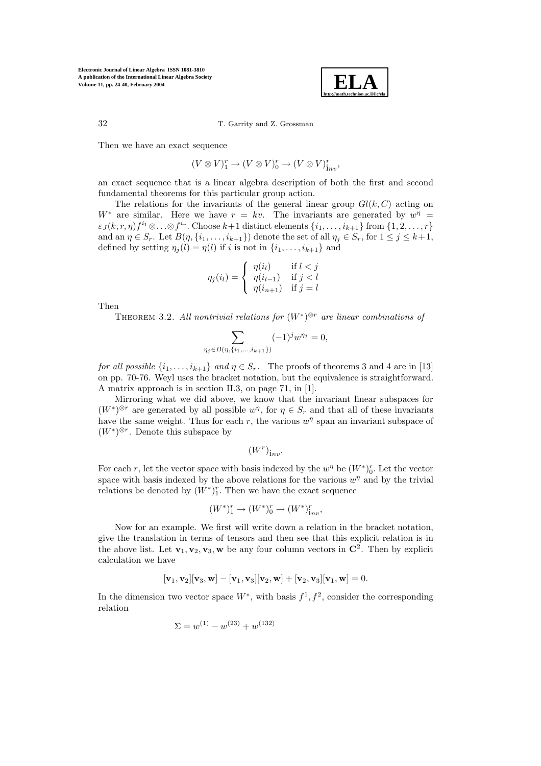

Then we have an exact sequence

$$
(V \otimes V)^r_1 \to (V \otimes V)^r_0 \to (V \otimes V)^r_{\mathop{\rm inv}},
$$

an exact sequence that is a linear algebra description of both the first and second fundamental theorems for this particular group action.

The relations for the invariants of the general linear group  $Gl(k, C)$  acting on W<sup>\*</sup> are similar. Here we have  $r = kv$ . The invariants are generated by  $w^{\eta} =$  $\varepsilon_J(k,r,\eta) f^{i_1} \otimes \ldots \otimes f^{i_r}$ . Choose  $k+1$  distinct elements  $\{i_1,\ldots,i_{k+1}\}$  from  $\{1,2,\ldots,r\}$ and an  $\eta \in S_r$ . Let  $B(\eta, \{i_1,\ldots,i_{k+1}\})$  denote the set of all  $\eta_i \in S_r$ , for  $1 \leq j \leq k+1$ , defined by setting  $\eta_i(l) = \eta(l)$  if i is not in  $\{i_1,\ldots,i_{k+1}\}\$  and

$$
\eta_j(i_l) = \begin{cases} \eta(i_l) & \text{if } l < j \\ \eta(i_{l-1}) & \text{if } j < l \\ \eta(i_{n+1}) & \text{if } j = l \end{cases}
$$

Then

Theorem 3.2. *All nontrivial relations for* (W<sup>∗</sup>)<sup>⊗</sup><sup>r</sup> *are linear combinations of*

$$
\sum_{\eta_j \in B(\eta, \{i_1, \dots, i_{k+1}\})} (-1)^j w^{\eta_j} = 0,
$$

*for all possible*  $\{i_1, \ldots, i_{k+1}\}$  *and*  $\eta \in S_r$ . The proofs of theorems 3 and 4 are in [13] on pp. 70-76. Weyl uses the bracket notation, but the equivalence is straightforward. A matrix approach is in section II.3, on page 71, in [1].

Mirroring what we did above, we know that the invariant linear subspaces for  $(W^*)^{\otimes r}$  are generated by all possible  $w^{\eta}$ , for  $\eta \in S_r$  and that all of these invariants have the same weight. Thus for each r, the various  $w^{\eta}$  span an invariant subspace of  $(W^*)^{\otimes r}$ . Denote this subspace by

$$
(W^r)_{\mathrm inv}.
$$

For each r, let the vector space with basis indexed by the  $w^{\eta}$  be  $(W^*)^r_0$ . Let the vector space with basis indexed by the above relations for the various  $w<sup>η</sup>$  and by the trivial relations be denoted by  $(W^*)^r_1$ . Then we have the exact sequence

$$
(W^*)_1^r \to (W^*)_0^r \to (W^*)_{inv}^r,
$$

Now for an example. We first will write down a relation in the bracket notation, give the translation in terms of tensors and then see that this explicit relation is in the above list. Let  $\mathbf{v}_1, \mathbf{v}_2, \mathbf{v}_3, \mathbf{w}$  be any four column vectors in  $\mathbb{C}^2$ . Then by explicit calculation we have

$$
[\mathbf{v}_1, \mathbf{v}_2][\mathbf{v}_3, \mathbf{w}] - [\mathbf{v}_1, \mathbf{v}_3][\mathbf{v}_2, \mathbf{w}] + [\mathbf{v}_2, \mathbf{v}_3][\mathbf{v}_1, \mathbf{w}] = 0.
$$

In the dimension two vector space  $W^*$ , with basis  $f^1, f^2$ , consider the corresponding relation

$$
\Sigma = w^{(1)} - w^{(23)} + w^{(132)}
$$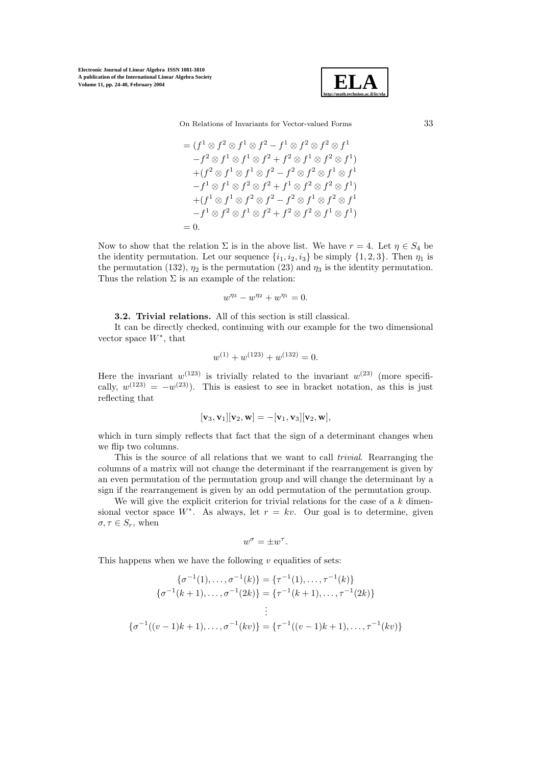

On Relations of Invariants for Vector-valued Forms 33

$$
= (f1 \otimes f2 \otimes f1 \otimes f2 - f1 \otimes f2 \otimes f2 \otimes f1-f2 \otimes f1 \otimes f1 \otimes f2 + f2 \otimes f1 \otimes f2 \otimes f1)+(f2 \otimes f1 \otimes f1 \otimes f2 - f2 \otimes f2 \otimes f1 \otimes f1-f1 \otimes f1 \otimes f2 \otimes f2 + f1 \otimes f2 \otimes f2 \otimes f1)+(f1 \otimes f1 \otimes f2 \otimes f2 - f2 \otimes f1 \otimes f2 \otimes f1-f1 \otimes f2 \otimes f1 \otimes f2 + f2 \otimes f2 \otimes f1 \otimes f1)= 0.
$$

Now to show that the relation  $\Sigma$  is in the above list. We have  $r = 4$ . Let  $\eta \in S_4$  be the identity permutation. Let our sequence  $\{i_1, i_2, i_3\}$  be simply  $\{1, 2, 3\}$ . Then  $\eta_1$  is the permutation (132),  $\eta_2$  is the permutation (23) and  $\eta_3$  is the identity permutation. Thus the relation  $\Sigma$  is an example of the relation:

$$
w^{\eta_3} - w^{\eta_2} + w^{\eta_1} = 0.
$$

**3.2. Trivial relations.** All of this section is still classical.

It can be directly checked, continuing with our example for the two dimensional vector space  $W^*$ , that

$$
w^{(1)} + w^{(123)} + w^{(132)} = 0.
$$

Here the invariant  $w^{(123)}$  is trivially related to the invariant  $w^{(23)}$  (more specifically,  $w^{(123)} = -w^{(23)}$ . This is easiest to see in bracket notation, as this is just reflecting that

$$
[\mathbf{v}_3,\mathbf{v}_1][\mathbf{v}_2,\mathbf{w}]=-[\mathbf{v}_1,\mathbf{v}_3][\mathbf{v}_2,\mathbf{w}],
$$

which in turn simply reflects that fact that the sign of a determinant changes when we flip two columns.

This is the source of all relations that we want to call *trivial*. Rearranging the columns of a matrix will not change the determinant if the rearrangement is given by an even permutation of the permutation group and will change the determinant by a sign if the rearrangement is given by an odd permutation of the permutation group.

We will give the explicit criterion for trivial relations for the case of a  $k$  dimensional vector space W<sup>∗</sup>. As always, let  $r = kv$ . Our goal is to determine, given  $\sigma, \tau \in S_r$ , when

$$
w^{\sigma} = \pm w^{\tau}.
$$

This happens when we have the following  $v$  equalities of sets:

$$
\{\sigma^{-1}(1), \dots, \sigma^{-1}(k)\} = \{\tau^{-1}(1), \dots, \tau^{-1}(k)\}
$$

$$
\{\sigma^{-1}(k+1), \dots, \sigma^{-1}(2k)\} = \{\tau^{-1}(k+1), \dots, \tau^{-1}(2k)\}
$$

$$
\vdots
$$

$$
\{\sigma^{-1}((v-1)k+1), \dots, \sigma^{-1}(kv)\} = \{\tau^{-1}((v-1)k+1), \dots, \tau^{-1}(kv)\}
$$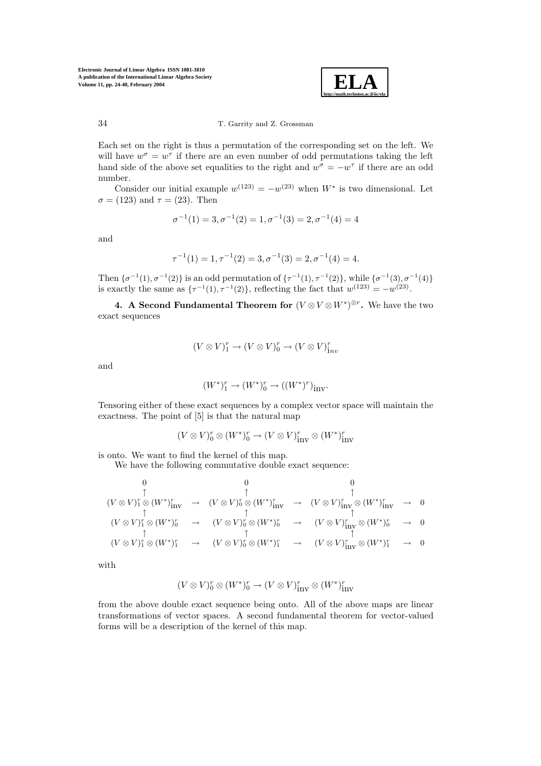

Each set on the right is thus a permutation of the corresponding set on the left. We will have  $w^{\sigma} = w^{\tau}$  if there are an even number of odd permutations taking the left hand side of the above set equalities to the right and  $w^{\sigma} = -w^{\tau}$  if there are an odd number.

Consider our initial example  $w^{(123)} = -w^{(23)}$  when  $W^*$  is two dimensional. Let  $\sigma = (123)$  and  $\tau = (23)$ . Then

$$
\sigma^{-1}(1) = 3, \sigma^{-1}(2) = 1, \sigma^{-1}(3) = 2, \sigma^{-1}(4) = 4
$$

and

$$
\tau^{-1}(1) = 1, \tau^{-1}(2) = 3, \sigma^{-1}(3) = 2, \sigma^{-1}(4) = 4.
$$

Then  $\{\sigma^{-1}(1), \sigma^{-1}(2)\}\$ is an odd permutation of  $\{\tau^{-1}(1), \tau^{-1}(2)\}\$ , while  $\{\sigma^{-1}(3), \sigma^{-1}(4)\}\$ is exactly the same as  $\{\tau^{-1}(1), \tau^{-1}(2)\}\,$  reflecting the fact that  $w^{(123)} = -w^{(23)}\,$ .

**4.** A Second Fundamental Theorem for  $(V \otimes V \otimes W^*)^{\otimes r}$ . We have the two exact sequences

$$
(V \otimes V)^r_1 \to (V \otimes V)^r_0 \to (V \otimes V)^r_{\mathop{\mathrm{inv}}\nolimits}
$$

and

$$
(W^*)^r_1 \rightarrow (W^*)^r_0 \rightarrow ((W^*)^r)_{\operatorname{inv}}.
$$

Tensoring either of these exact sequences by a complex vector space will maintain the exactness. The point of [5] is that the natural map

$$
(V \otimes V)^r_0 \otimes (W^*)^r_0 \to (V \otimes V)^r_{\mathrm{inv}} \otimes (W^*)^r_{\mathrm{inv}}
$$

is onto. We want to find the kernel of this map.

We have the following commutative double exact sequence:

$$
(V \otimes V)^r_1 \otimes (W^*)^r_{\text{inv}} \rightarrow (V \otimes V)^r_0 \otimes (W^*)^r_{\text{inv}} \rightarrow (V \otimes V)^r_{\text{inv}} \otimes (W^*)^r_{\text{inv}} \rightarrow 0
$$
  
\n
$$
(V \otimes V)^r_1 \otimes (W^*)^r_0 \rightarrow (V \otimes V)^r_0 \otimes (W^*)^r_0 \rightarrow (V \otimes V)^r_{\text{inv}} \otimes (W^*)^r_0 \rightarrow 0
$$
  
\n
$$
(V \otimes V)^r_1 \otimes (W^*)^r_1 \rightarrow (V \otimes V)^r_0 \otimes (W^*)^r_1 \rightarrow (V \otimes V)^r_{\text{inv}} \otimes (W^*)^r_1 \rightarrow 0
$$

with

$$
(V \otimes V)^r_0 \otimes (W^*)^r_0 \to (V \otimes V)^r_{\text{inv}} \otimes (W^*)^r_{\text{inv}}
$$

from the above double exact sequence being onto. All of the above maps are linear transformations of vector spaces. A second fundamental theorem for vector-valued forms will be a description of the kernel of this map.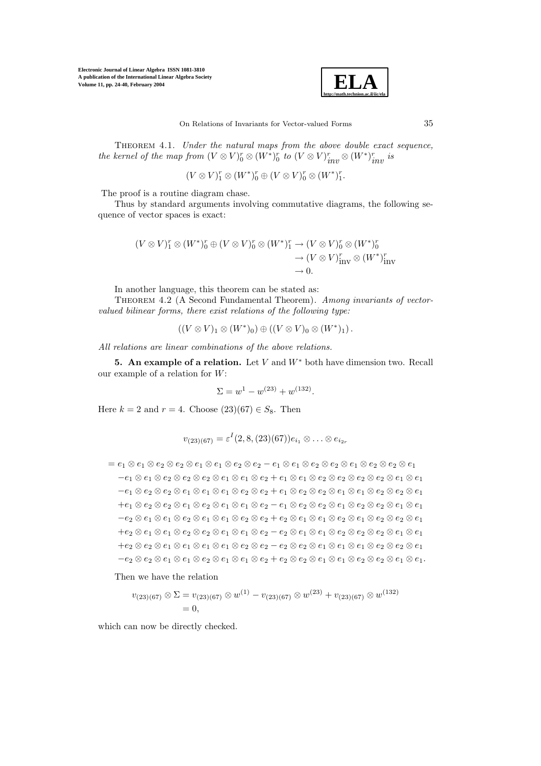

Theorem 4.1. *Under the natural maps from the above double exact sequence, the kernel of the map from*  $(V \otimes V)_0^r \otimes (W^*)_0^r$  *to*  $(V \otimes V)_{inv}^r \otimes (W^*)_{inv}^r$  *is* 

$$
(V \otimes V)^r_1 \otimes (W^*)^r_0 \oplus (V \otimes V)^r_0 \otimes (W^*)^r_1.
$$

The proof is a routine diagram chase.

Thus by standard arguments involving commutative diagrams, the following sequence of vector spaces is exact:

$$
(V \otimes V)^r_1 \otimes (W^*)^r_0 \oplus (V \otimes V)^r_0 \otimes (W^*)^r_1 \to (V \otimes V)^r_0 \otimes (W^*)^r_0
$$
  
\n
$$
\to (V \otimes V)^r_{\text{inv}} \otimes (W^*)^r_{\text{inv}}
$$
  
\n
$$
\to 0.
$$

In another language, this theorem can be stated as:

Theorem 4.2 (A Second Fundamental Theorem). *Among invariants of vectorvalued bilinear forms, there exist relations of the following type:*

$$
((V \otimes V)_1 \otimes (W^*)_0) \oplus ((V \otimes V)_0 \otimes (W^*)_1).
$$

*All relations are linear combinations of the above relations.*

**5. An example of a relation.** Let V and W<sup>∗</sup> both have dimension two. Recall our example of a relation for  $W$ :

$$
\Sigma = w^1 - w^{(23)} + w^{(132)}.
$$

Here  $k = 2$  and  $r = 4$ . Choose  $(23)(67) \in S_8$ . Then

$$
v_{(23)(67)} = \varepsilon^{I}(2,8,(23)(67))e_{i_1} \otimes \ldots \otimes e_{i_{2r}}
$$

 $= e_1 \otimes e_1 \otimes e_2 \otimes e_2 \otimes e_1 \otimes e_1 \otimes e_2 \otimes e_2 - e_1 \otimes e_1 \otimes e_2 \otimes e_2 \otimes e_1 \otimes e_2 \otimes e_2 \otimes e_1$  $-e_1\otimes e_1\otimes e_2\otimes e_2\otimes e_2\otimes e_1\otimes e_1\otimes e_2+e_1\otimes e_1\otimes e_2\otimes e_2\otimes e_2\otimes e_2\otimes e_1\otimes e_1$  $-e_1\otimes e_2\otimes e_2\otimes e_1\otimes e_1\otimes e_1\otimes e_2\otimes e_2+e_1\otimes e_2\otimes e_2\otimes e_1\otimes e_2\otimes e_2\otimes e_1$  $+e_1 \otimes e_2 \otimes e_2 \otimes e_1 \otimes e_2 \otimes e_1 \otimes e_2 \otimes e_2 \otimes e_2 \otimes e_1 \otimes e_2 \otimes e_1 \otimes e_2 \otimes e_1 \otimes e_2$  $-e_2\otimes e_1\otimes e_1\otimes e_2\otimes e_1\otimes e_1\otimes e_2\otimes e_2+e_2\otimes e_1\otimes e_1\otimes e_2\otimes e_1\otimes e_2\otimes e_2\otimes e_1$  $+e_2\otimes e_1\otimes e_1\otimes e_2\otimes e_2\otimes e_1\otimes e_1\otimes e_2-e_2\otimes e_1\otimes e_1\otimes e_2\otimes e_2\otimes e_2\otimes e_1\otimes e_1$  $+e_2 \otimes e_2 \otimes e_1 \otimes e_1 \otimes e_1 \otimes e_2 \otimes e_2 \otimes e_2 \otimes e_2 \otimes e_1 \otimes e_1 \otimes e_1 \otimes e_2 \otimes e_2 \otimes e_1$  $-e_2 \otimes e_2 \otimes e_1 \otimes e_1 \otimes e_2 \otimes e_1 \otimes e_2 + e_2 \otimes e_2 \otimes e_1 \otimes e_2 \otimes e_2 \otimes e_1 \otimes e_1.$ 

Then we have the relation

$$
v_{(23)(67)} \otimes \Sigma = v_{(23)(67)} \otimes w^{(1)} - v_{(23)(67)} \otimes w^{(23)} + v_{(23)(67)} \otimes w^{(132)} = 0,
$$

which can now be directly checked.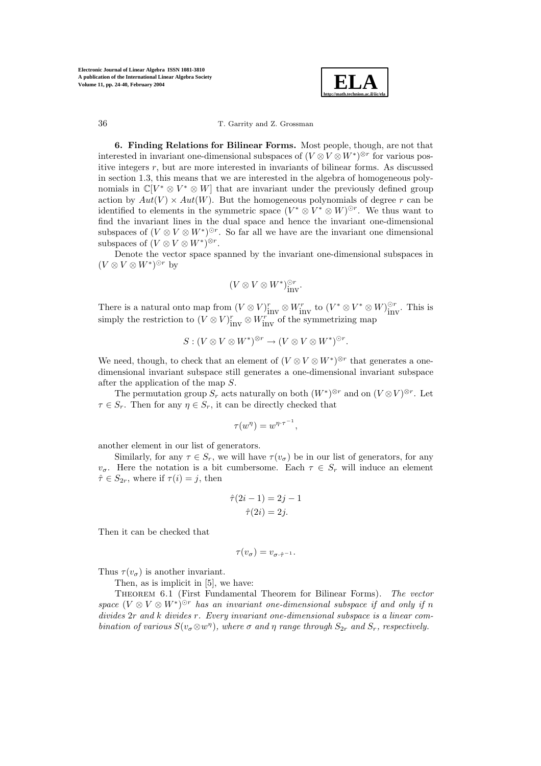

**6. Finding Relations for Bilinear Forms.** Most people, though, are not that interested in invariant one-dimensional subspaces of  $(V \otimes V \otimes W^*)^{\otimes r}$  for various positive integers  $r$ , but are more interested in invariants of bilinear forms. As discussed in section 1.3, this means that we are interested in the algebra of homogeneous polynomials in  $\mathbb{C}[V^* \otimes V^* \otimes W]$  that are invariant under the previously defined group action by  $Aut(V) \times Aut(W)$ . But the homogeneous polynomials of degree r can be identified to elements in the symmetric space  $(V^* \otimes V^* \otimes W)^{\odot r}$ . We thus want to find the invariant lines in the dual space and hence the invariant one-dimensional subspaces of  $(V \otimes V \otimes W^*)^{\odot r}$ . So far all we have are the invariant one dimensional subspaces of  $(V \otimes V \otimes W^*)^{\otimes r}$ .

Denote the vector space spanned by the invariant one-dimensional subspaces in  $(V \otimes V \otimes W^*)^{\odot r}$  by

$$
(V \otimes V \otimes W^*)^{\odot r}_{\text{inv}}.
$$

There is a natural onto map from  $(V \otimes V)^r_{\text{inv}} \otimes W^r_{\text{inv}}$  to  $(V^* \otimes V^* \otimes W)^{\odot r}_{\text{inv}}$ . This is simply the restriction to  $(V \otimes V)^r_{\text{inv}} \otimes W^{r}_{\text{inv}}$  of the symmetrizing map

$$
S: (V \otimes V \otimes W^*)^{\otimes r} \to (V \otimes V \otimes W^*)^{\odot r}.
$$

We need, though, to check that an element of  $(V \otimes V \otimes W^*)^{\otimes r}$  that generates a onedimensional invariant subspace still generates a one-dimensional invariant subspace after the application of the map S.

The permutation group  $S_r$  acts naturally on both  $(W^*)^{\otimes r}$  and on  $(V \otimes V)^{\otimes r}$ . Let  $\tau \in S_r$ . Then for any  $\eta \in S_r$ , it can be directly checked that

$$
\tau(w^{\eta}) = w^{\eta \cdot \tau^{-1}}
$$

,

another element in our list of generators.

Similarly, for any  $\tau \in S_r$ , we will have  $\tau(v_{\sigma})$  be in our list of generators, for any  $v_{\sigma}$ . Here the notation is a bit cumbersome. Each  $\tau \in S_r$  will induce an element  $\hat{\tau} \in S_{2r}$ , where if  $\tau(i) = j$ , then

$$
\hat{\tau}(2i - 1) = 2j - 1
$$

$$
\hat{\tau}(2i) = 2j.
$$

Then it can be checked that

$$
\tau(v_{\sigma})=v_{\sigma\cdot\hat{\tau}^{-1}}.
$$

Thus  $\tau(v_{\sigma})$  is another invariant.

Then, as is implicit in [5], we have:

Theorem 6.1 (First Fundamental Theorem for Bilinear Forms). *The vector space*  $(V \otimes V \otimes W^*)^{\odot r}$  *has an invariant one-dimensional subspace if and only if* n *divides* 2r *and* k *divides* r*. Every invariant one-dimensional subspace is a linear combination of various*  $S(v_{\sigma} \otimes w^{\eta})$ *, where*  $\sigma$  *and*  $\eta$  *range through*  $S_{2r}$  *and*  $S_r$ *, respectively.*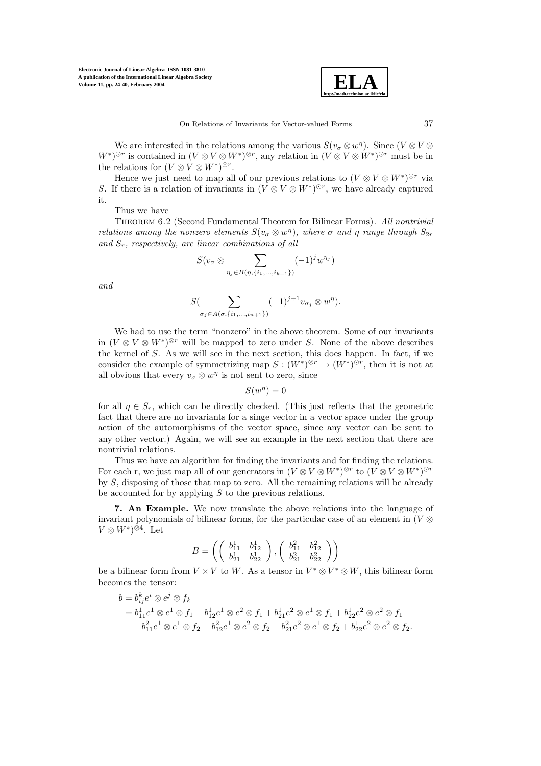

We are interested in the relations among the various  $S(v_{\sigma} \otimes w^{\eta})$ . Since  $(V \otimes V \otimes$  $W^*$ )<sup>⊙r</sup> is contained in  $(V \otimes V \otimes W^*)^{\otimes r}$ , any relation in  $(V \otimes V \otimes W^*)^{\odot r}$  must be in the relations for  $(V \otimes V \otimes W^*)^{\odot r}$ .

Hence we just need to map all of our previous relations to  $(V \otimes V \otimes W^*)^{\odot r}$  via S. If there is a relation of invariants in  $(V \otimes V \otimes W^*)^{\odot r}$ , we have already captured it.

Thus we have

Theorem 6.2 (Second Fundamental Theorem for Bilinear Forms). *All nontrivial relations among the nonzero elements*  $S(v_{\sigma} \otimes w^{\eta})$ *, where*  $\sigma$  *and*  $\eta$  *range through*  $S_{2r}$ *and* Sr*, respectively, are linear combinations of all*

$$
S(v_{\sigma} \otimes \sum_{\eta_j \in B(\eta, \{i_1, \ldots, i_{k+1}\})} (-1)^j w^{\eta_j})
$$

*and*

$$
S(\sum_{\sigma_j\in A(\sigma,\{i_1,\ldots,i_{n+1}\})}(-1)^{j+1}v_{\sigma_j}\otimes w^\eta).
$$

We had to use the term "nonzero" in the above theorem. Some of our invariants in  $(V \otimes V \otimes W^*)^{\otimes r}$  will be mapped to zero under S. None of the above describes the kernel of S. As we will see in the next section, this does happen. In fact, if we consider the example of symmetrizing map  $S : (W^*)^{\otimes r} \to (W^*)^{\odot r}$ , then it is not at all obvious that every  $v_{\sigma} \otimes w^{\eta}$  is not sent to zero, since

$$
S(w^{\eta}) = 0
$$

for all  $\eta \in S_r$ , which can be directly checked. (This just reflects that the geometric fact that there are no invariants for a singe vector in a vector space under the group action of the automorphisms of the vector space, since any vector can be sent to any other vector.) Again, we will see an example in the next section that there are nontrivial relations.

Thus we have an algorithm for finding the invariants and for finding the relations. For each r, we just map all of our generators in  $(V \otimes V \otimes W^*)^{\otimes r}$  to  $(V \otimes V \otimes W^*)^{\odot r}$ by S, disposing of those that map to zero. All the remaining relations will be already be accounted for by applying S to the previous relations.

**7. An Example.** We now translate the above relations into the language of invariant polynomials of bilinear forms, for the particular case of an element in ( $V \otimes$  $V \otimes W^* \rangle^{\otimes 4}$ . Let

$$
B = \left( \left( \begin{array}{cc} b_{11}^1 & b_{12}^1 \\ b_{21}^1 & b_{22}^1 \end{array} \right), \left( \begin{array}{cc} b_{11}^2 & b_{12}^2 \\ b_{21}^2 & b_{22}^2 \end{array} \right) \right)
$$

be a bilinear form from  $V \times V$  to W. As a tensor in  $V^* \otimes V^* \otimes W$ , this bilinear form becomes the tensor:

$$
b = b_{ij}^k e^i \otimes e^j \otimes f_k
$$
  
=  $b_{11}^1 e^1 \otimes e^1 \otimes f_1 + b_{12}^1 e^1 \otimes e^2 \otimes f_1 + b_{21}^1 e^2 \otimes e^1 \otimes f_1 + b_{22}^1 e^2 \otimes e^2 \otimes f_1$   
+  $b_{11}^2 e^1 \otimes e^1 \otimes f_2 + b_{12}^2 e^1 \otimes e^2 \otimes f_2 + b_{21}^2 e^2 \otimes e^1 \otimes f_2 + b_{22}^1 e^2 \otimes e^2 \otimes f_2.$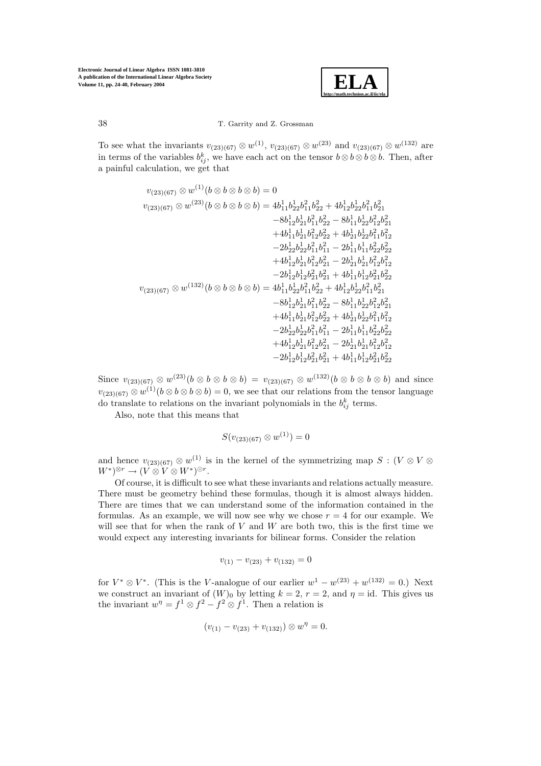

To see what the invariants  $v_{(23)(67)} \otimes w^{(1)}$ ,  $v_{(23)(67)} \otimes w^{(23)}$  and  $v_{(23)(67)} \otimes w^{(132)}$  are in terms of the variables  $b_{ij}^k$ , we have each act on the tensor  $b \otimes b \otimes b$ . Then, after a painful calculation, we get that

$$
\begin{aligned} v_{(23)(67)} \otimes w^{(1)}(b \otimes b \otimes b \otimes b) &= 0 \\ v_{(23)(67)} \otimes w^{(23)}(b \otimes b \otimes b \otimes b) &= 4b_{11}^1b_{22}^1b_{11}^2b_{22}^2+4b_{12}^1b_{22}^1b_{21}^2 \\ &\quad -8b_{12}^1b_{21}^1b_{11}^2b_{22}^2-8b_{11}^1b_{22}^1b_{12}^2b_{21}^2 \\ &\quad +4b_{11}^1b_{21}^1b_{12}^2b_{22}^2+4b_{21}^1b_{22}^1b_{11}^2b_{12}^2 \\ &\quad -2b_{22}^1b_{22}^1b_{11}^2b_{11}^2-2b_{11}^1b_{11}^1b_{22}^2b_{22}^2 \\ &\quad +4b_{12}^1b_{21}^1b_{12}^2b_{21}^2-2b_{21}^1b_{11}^1b_{12}^2b_{22}^2 \\ &\quad -2b_{12}^1b_{12}^1b_{21}^2b_{21}^2+4b_{11}^1b_{12}^1b_{21}^2b_{12}^2 \\ &\quad -2b_{12}^1b_{12}^1b_{21}^2b_{21}^2+4b_{11}^1b_{12}^1b_{21}^2b_{22}^2 \\ v_{(23)(67)} \otimes w^{(132)}(b \otimes b \otimes b \otimes b)=4b_{11}^1b_{22}^1b_{11}^2b_{22}^2+4b_{12}^1b_{22}^1b_{11}^2b_{21}^2 \\ &\quad -8b_{12}^1b_{21}^1b_{12}^2b_{22}^2+4b_{12}^1b_{22}^1b_{11}^2b_{22}^2 \\ &\quad +4b_{11}^1b_{21}^1b_{12}^2b_{22}^2+4b_{21}^1b_{12}^1b_{22}^2b_{22}^2 \\ &\quad +4b_{11}^1b_{21}^1b_{12}^
$$

Since  $v_{(23)(67)} \otimes w^{(23)}(b \otimes b \otimes b) = v_{(23)(67)} \otimes w^{(132)}(b \otimes b \otimes b)$  and since  $v_{(23)(67)} \otimes w^{(1)}(b \otimes b \otimes b) = 0$ , we see that our relations from the tensor language do translate to relations on the invariant polynomials in the  $b_{ij}^k$  terms.

Also, note that this means that

$$
S(v_{(23)(67)} \otimes w^{(1)}) = 0
$$

and hence  $v_{(23)(67)} \otimes w^{(1)}$  is in the kernel of the symmetrizing map  $S : (V \otimes V \otimes W)$  $W^*$ )⊗r →  $(V \otimes V \otimes W^*)^{\odot r}$ .

Of course, it is difficult to see what these invariants and relations actually measure. There must be geometry behind these formulas, though it is almost always hidden. There are times that we can understand some of the information contained in the formulas. As an example, we will now see why we chose  $r = 4$  for our example. We will see that for when the rank of  $V$  and  $W$  are both two, this is the first time we would expect any interesting invariants for bilinear forms. Consider the relation

$$
v_{(1)} - v_{(23)} + v_{(132)} = 0
$$

for  $V^* \otimes V^*$ . (This is the V-analogue of our earlier  $w^1 - w^{(23)} + w^{(132)} = 0$ .) Next we construct an invariant of  $(W)_0$  by letting  $k = 2$ ,  $r = 2$ , and  $\eta = id$ . This gives us the invariant  $w^{\eta} = f^{1} \otimes f^{2} - f^{2} \otimes f^{1}$ . Then a relation is

$$
(v_{(1)} - v_{(23)} + v_{(132)}) \otimes w^{\eta} = 0.
$$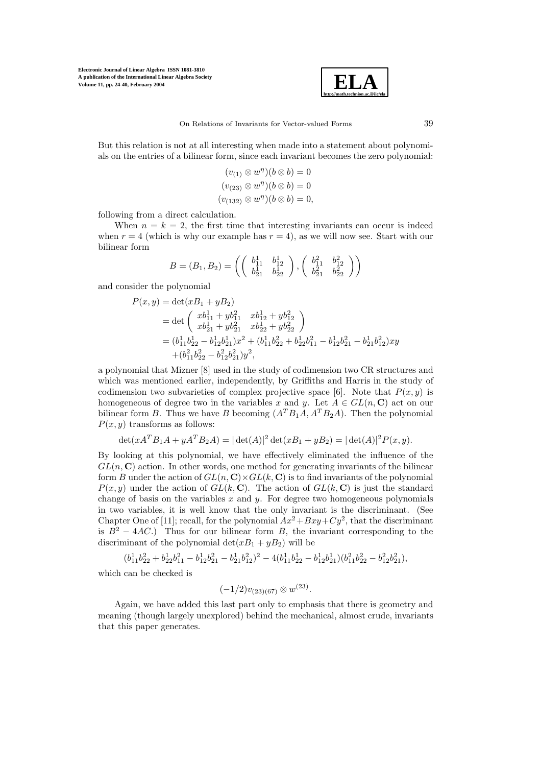

But this relation is not at all interesting when made into a statement about polynomials on the entries of a bilinear form, since each invariant becomes the zero polynomial:

$$
(v_{(1)} \otimes w^{\eta})(b \otimes b) = 0
$$
  

$$
(v_{(23)} \otimes w^{\eta})(b \otimes b) = 0
$$
  

$$
(v_{(132)} \otimes w^{\eta})(b \otimes b) = 0,
$$

following from a direct calculation.

When  $n = k = 2$ , the first time that interesting invariants can occur is indeed when  $r = 4$  (which is why our example has  $r = 4$ ), as we will now see. Start with our bilinear form

$$
B = (B_1, B_2) = \left( \begin{pmatrix} b_{11}^1 & b_{12}^1 \\ b_{21}^1 & b_{22}^1 \end{pmatrix}, \begin{pmatrix} b_{11}^2 & b_{12}^2 \\ b_{21}^2 & b_{22}^2 \end{pmatrix} \right)
$$

and consider the polynomial

$$
P(x,y) = det(xB_1 + yB_2)
$$
  
= det  $\begin{pmatrix} xb_{11}^1 + yb_{11}^2 & xb_{12}^1 + yb_{12}^2 \ xb_{21}^1 + yb_{21}^2 & xb_{22}^1 + yb_{22}^2 \end{pmatrix}$   
=  $(b_{11}^1 b_{22}^1 - b_{12}^1 b_{21}^1)x^2 + (b_{11}^1 b_{22}^2 + b_{22}^1 b_{11}^2 - b_{12}^1 b_{21}^2 - b_{21}^1 b_{12}^2)xy$   
+  $(b_{11}^2 b_{22}^2 - b_{12}^2 b_{21}^2)y^2$ ,

a polynomial that Mizner [8] used in the study of codimension two CR structures and which was mentioned earlier, independently, by Griffiths and Harris in the study of codimension two subvarieties of complex projective space [6]. Note that  $P(x, y)$  is homogeneous of degree two in the variables x and y. Let  $A \in GL(n, \mathbb{C})$  act on our bilinear form B. Thus we have B becoming  $(A^T B_1 A, A^T B_2 A)$ . Then the polynomial  $P(x, y)$  transforms as follows:

$$
\det(xA^T B_1 A + yA^T B_2 A) = |\det(A)|^2 \det(xB_1 + yB_2) = |\det(A)|^2 P(x, y).
$$

By looking at this polynomial, we have effectively eliminated the influence of the  $GL(n, \mathbb{C})$  action. In other words, one method for generating invariants of the bilinear form B under the action of  $GL(n, \mathbb{C}) \times GL(k, \mathbb{C})$  is to find invariants of the polynomial  $P(x, y)$  under the action of  $GL(k, \mathbb{C})$ . The action of  $GL(k, \mathbb{C})$  is just the standard change of basis on the variables  $x$  and  $y$ . For degree two homogeneous polynomials in two variables, it is well know that the only invariant is the discriminant. (See Chapter One of [11]; recall, for the polynomial  $Ax^2 + Bxy + Cy^2$ , that the discriminant is  $B^2 - 4AC$ .) Thus for our bilinear form B, the invariant corresponding to the discriminant of the polynomial  $\det(xB_1 + yB_2)$  will be

$$
\begin{aligned} (b_{11}^1b_{22}^2+b_{22}^1b_{11}^2-b_{12}^1b_{21}^2-b_{21}^1b_{12}^2)^2-4(b_{11}^1b_{22}^1-b_{12}^1b_{21}^1)(b_{11}^2b_{22}^2-b_{12}^2b_{21}^2),\end{aligned}
$$

which can be checked is

 $(-1/2)v_{(23)(67)} \otimes w^{(23)}$ .

Again, we have added this last part only to emphasis that there is geometry and meaning (though largely unexplored) behind the mechanical, almost crude, invariants that this paper generates.